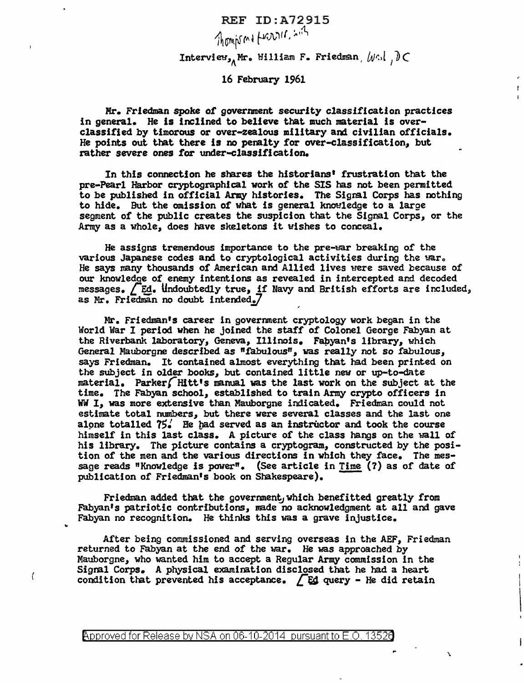REF ID:A72915  $7$ homps m +  $+$ 122216,  $\sqrt{15}$ Interview,, Mr. William F. Friedman,  $\psi$ .,  $\partial \subset$ 

Ŧ.

16 February 1961

Hr. Friedman spoke *of* government security classification practices in general. He is inclined to believe that much material is overclassified by timorous or over-zealous military and civilian officials. He points out that there ls no penalty for over-classification, but rather severe ones for under-classification.

In this connection he shares the historians• frustration that the pre-Pearl Harbor cryptographical work of the SIS has not been permitted to be published in official Army histories. The Sigml Corps has nothing to hide. But the omission of what is general knowledge to a large segment of the public creates the suspicion that the Signal Corps, or the Army as a whole, does have skeletons it wishes to conceal.

He assigns tremendous importance to the pre-war breaking of the various Japanese codes and to cryptological activities during the war. He says many thousands of American and Allied lives were saved because of our knowledge of enemy intentions as revealed in intercepted and decoded messages. *L* Ed. Undoubtedly true, if Navy and British efforts are included, as Mr. Friedman no doubt intended. $7$ 

Mr. Friedman's career in government cryptology work began in the World War I period when he joined the staff of Colonel George Fabyan at the Riverbank laboratory, Geneva, Illinois. Fabyan's library, which General Mauborgne described as "fabulous", was really not so fabulous, says Friedman. It contained almost everything that had been printed on the subject in older books, but contained little new or up-to-date material. Parker(Hltt•s manual was the last work on the subject at the time. The Fabyan school, established to train Army crypto officers in WW I, was more extensive than Mauborgne indicated. Friedman could not estimate total numbers, but there were several classes and the last one alone totalled  $75′$  He had served as an instructor and took the course himself in this last class. A picture of the class hangs on the wall of his library. The picture contains a cryptogram, constructed by the position of the men and the various directions in which they face. The message reads "Knowledge is power". (See article in Time (?) as of date of publication of Friedman's book on Shakespeare).

Friedman added that the government, which benefitted greatly from Fabyan's patriotic contributions, made no acknowledgment at all and gave Fabyan no recognition. He thinks this was a grave injustice.

After being commissioned and serving overseas in the AEF, Friedman returned to Fabyan at the end of the war. He was approached by Mauborgne, who wanted him to accept a Regular Army commission in the Sigral Corps. A physical examination disclosed that he had a heart condition that prevented his acceptance.  $\sqrt{E}$ d query - He did retain

"

 $\left($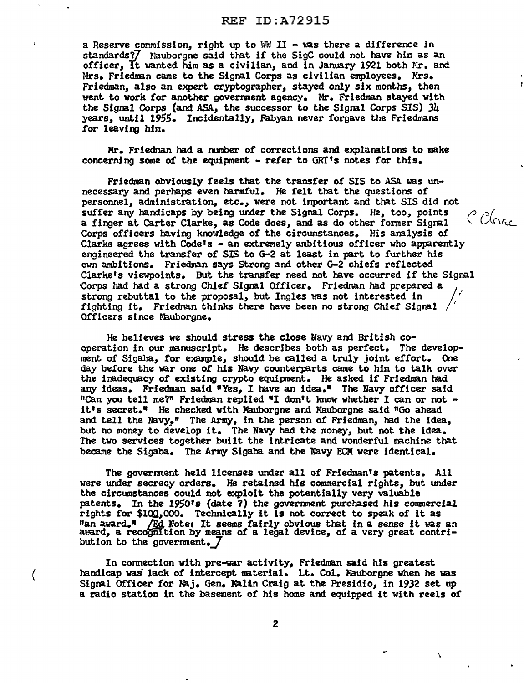## REF ID:A72915

a Reserve commission, right up to WW II  $-$  was there a difference in standards?7 Nauborgne said that if the SigC could not have him as an officer, Tt wanted him as a civilian, and in January 1921 both Mr. and Mrs. Friedman came to the Signal Corps as civilian employees. Mrs. Friedman, also an expert cryptographer, stayed only six months, then went to work for another government agency. Mr. Friedman stayed with the Signal Corps (and ASA, the successor to the Signal Corps SIS) 34 years, until 1955. Incidentally, Fabyan never forgave the Friedmans for leaving him.

Mr. Friedman had a number of corrections and explanations to make concerning some of the equipment - refer to GRT's notes for this.

Friedman obviously feels that the transfer of SIS to ASA. was unnecessary and perhaps even harmful. He felt that the questions or personnel, administration, etc., were not important and that SIS did not suffer any handicaps by being under the Signal Corps. He, too, points a finger at Carter Clarke, as Code does, and as do other former Signal Corps officers having knowledge of the circumstances. His analysis of Clarke agrees with Code's  $-$  an extremely ambitious officer who apparently engineered the transfer of SIS to G-2 at least in part to further his own ambitions. Friedman says Strong and other G-2 chiefs reflected Clarke's viewpoints. But the transfer need not have occurred if the Signal 'Corps had had a strong Chief Signal Officer. Friedman had prepared a strong rebuttal to the proposal, but Ingles was not interested in fighting it. Friedman thinks there have been no strong Chief Signal */*  Officers since Mauborgne.

He believes we should stress the close Navy and British cooperation in our manuscript. He describes both as perfect. The development of Slgaba, for example, should be called a truly joint effort. One day before the war one of his Navy counterparts came to him to talk over the inadequacy of existing crypto equipment. He asked if Friedman had any ideas. Friedman said "Yes, I have an idea." The Navy officer said "Can you tell me?" Friedman replied "I don't know whether I can or not - it's secret." He checked with Mauborgne and Mauborgne said "Go ahead and tell the Navy." The Army, in the person of Friedman, had the idea, but no money to develop it. The Navy had the money, but not the idea. The two services together built the intricate and wonderful machine that became the Sigaba. The Army Sigaba. and the Navy ECM were identical.

The government held licenses under all of Friedman's patents. All were under secrecy orders. He retained his commercial rights, but under the circumstances could not exploit the potentially very valuable patents. In the  $1950$ 's (date ?) the government purchased his commercial rights for \$100,000. Technically it is not correct to speak of it as "an award." /Ed Note: It seems fairly obvious that in a sense it was an alit alias recognition by means of a legal device, of a very great contribution to the government.  $/$ 

In connection with pre-war activity, Friedman said his greatest handicap was lack of intercept material. Lt. Col. Fauborgne when he was Signal Officer for Maj. Gen. Malin Craig at the Presidio, in 1932 set up a radio station in the basement of his home and equipped it with reels of

(

C Clergo

 $\mathbf{v}$